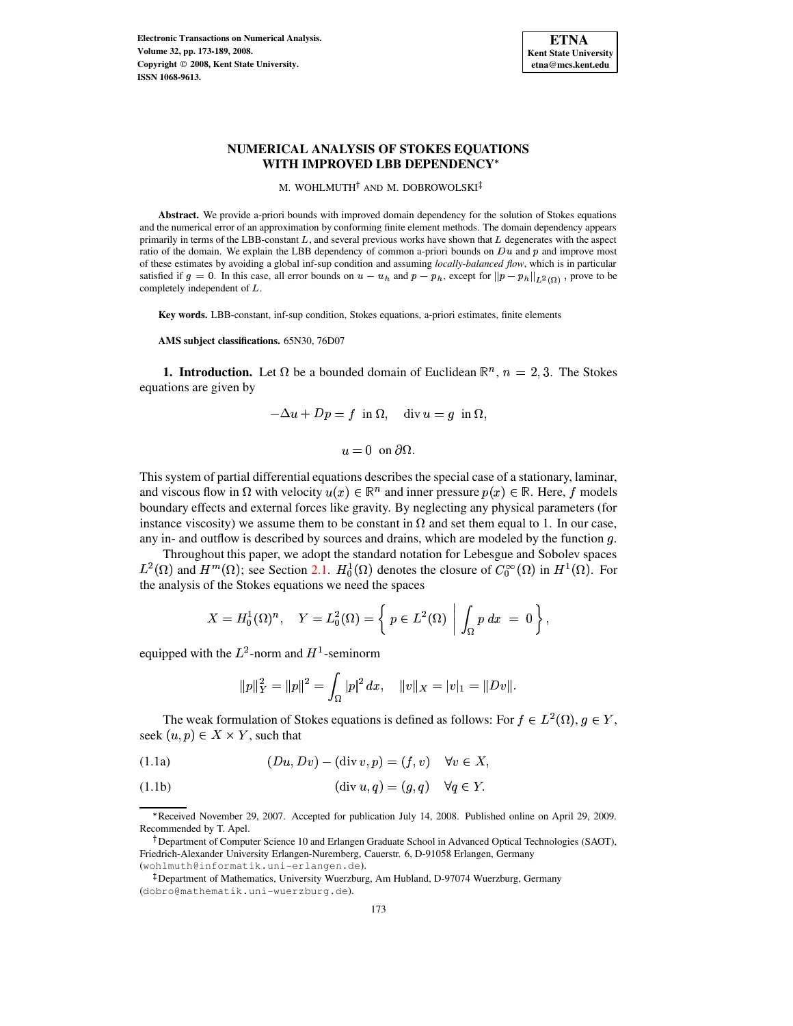

M. WOHLMUTH<sup>†</sup> AND M. DOBROWOLSKI

**Abstract.** We provide a-priori bounds with improved domain dependency for the solution of Stokes equations and the numerical error of an approximation by conforming finite element methods. The domain dependency appears primarily in terms of the LBB-constant  $L$ , and several previous works have shown that  $L$  degenerates with the aspect ratio of the domain. We explain the LBB dependency of common a-priori bounds on  $Du$  and  $p$  and improve most of these estimates by avoiding a global inf-sup condition and assuming *locally-balanced flow*, which is in particular satisfied if  $g = 0$ . In this case, all error bounds on  $u - u_h$  and  $p - p_h$ , except for  $||p - p_h||_{L^2(\Omega)}$ , prove to be completely independent of  $L$ .

**Key words.** LBB-constant, inf-sup condition, Stokes equations, a-priori estimates, finite elements

**AMS subject classifications.** 65N30, 76D07

**1. Introduction.** Let  $\Omega$  be a bounded domain of Euclidean  $\mathbb{R}^n$ ,  $n = 2,3$ . The Stokes equations are given by

$$
-\Delta u + Dp = f \text{ in } \Omega, \text{ div } u = g \text{ in } \Omega,
$$

 $u = 0$  on  $\partial\Omega$ 

This system of partial differential equations describes the special case of a stationary, laminar, and viscous flow in  $\Omega$  with velocity  $u(x) \in \mathbb{R}^n$  and inner pressure  $p(x) \in \mathbb{R}$ . Here, f models boundary effects and external forces like gravity. By neglecting any physical parameters (for instance viscosity) we assume them to be constant in  $\Omega$  and set them equal to 1. In our case, any in- and outflow is described by sources and drains, which are modeled by the function  $g$ .

Throughout this paper, we adopt the standard notation for Lebesgue and Sobolev spaces  $L^2(\Omega)$  and  $H^m(\Omega)$ ; see Section [2.1.](#page-2-0)  $H_0^1(\Omega)$  denotes the closure of  $C_0^{\infty}(\Omega)$  in  $H^1(\Omega)$ . For the analysis of the Stokes equations we need the spaces

$$
X = H_0^1(\Omega)^n, \quad Y = L_0^2(\Omega) = \left\{ p \in L^2(\Omega) \middle| \int_{\Omega} p \, dx = 0 \right\},
$$

equipped with the  $L^2$ -norm and  $H^1$ -seminorm

<span id="page-0-2"></span>
$$
||p||_Y^2 = ||p||^2 = \int_{\Omega} |p|^2 dx, \quad ||v||_X = |v|_1 = ||Dv||.
$$

The weak formulation of Stokes equations is defined as follows: For  $f \in L^2(\Omega)$ ,  $g \in Y$ , seek  $(u, p) \in X \times Y$ , such that

<span id="page-0-0"></span>
$$
(1.1a) \qquad (Du, Dv) - (\operatorname{div} v, p) = (f, v) \quad \forall v \in X,
$$

<span id="page-0-1"></span>(1.1b) 
$$
(\text{div } u, q) = (g, q) \quad \forall q \in Y.
$$

Received November 29, 2007. Accepted for publication July 14, 2008. Published online on April 29, 2009. Recommended by T. Apel.

<sup>&</sup>lt;sup>†</sup> Department of Computer Science 10 and Erlangen Graduate School in Advanced Optical Technologies (SAOT), Friedrich-Alexander University Erlangen-Nuremberg, Cauerstr. 6, D-91058 Erlangen, Germany (wohlmuth@informatik.uni-erlangen.de).

<sup>-</sup> Department of Mathematics, University Wuerzburg, Am Hubland, D-97074 Wuerzburg, Germany (dobro@mathematik.uni-wuerzburg.de).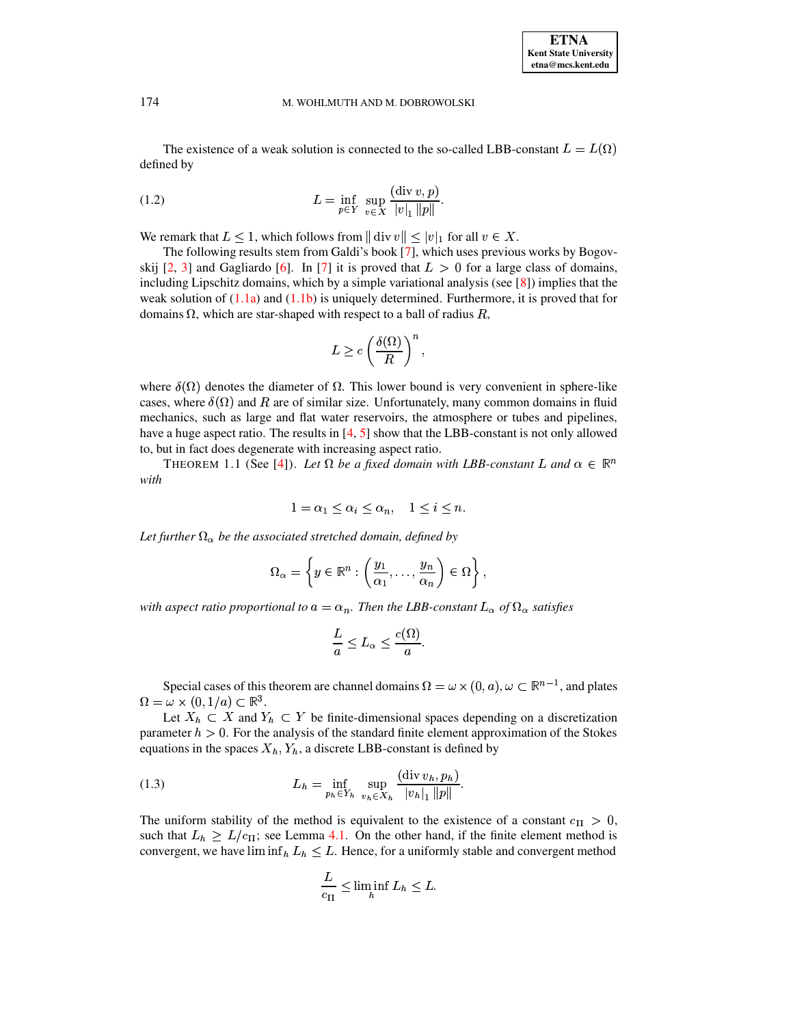The existence of a weak solution is connected to the so-called LBB-constant  $L = L(\Omega)$ defined by

<span id="page-1-1"></span>(1.2) 
$$
L = \inf_{p \in Y} \sup_{v \in X} \frac{(\text{div } v, p)}{|v|_1 ||p||}.
$$

We remark that  $L \leq 1$ , which follows from  $|| \text{ div } v || \leq |v|_1$  for all  $v \in X$ .

emark that  $L \leq 1$ , which follows from  $|| \text{ div } v || \leq |v|_1$  for all  $v \in X$ .<br>The following results stem from Galdi's book [\[7\]](#page-16-0), which uses previous works by Bogovskij  $[2, 3]$  $[2, 3]$  $[2, 3]$  and Gagliardo  $[6]$ . In  $[7]$  it is proved that  $L > 0$  for a large class of domains, including Lipschitz domains, which by a simple variational analysis (see  $[8]$ ) implies that the weak solution of  $(1.1a)$  and  $(1.1b)$  is uniquely determined. Furthermore, it is proved that for domains  $\Omega$ , which are star-shaped with respect to a ball of radius  $R$ ,

$$
L \geq c \left(\frac{\delta(\Omega)}{R}\right)^n,
$$

where  $\delta(\Omega)$  denotes the diameter of  $\Omega$ . This lower bound is very convenient in sphere-like cases, where  $\delta(\Omega)$  and R are of similar size. Unfortunately, many common domains in fluid mechanics, such as large and flat water reservoirs, the atmosphere or tubes and pipelines, have a huge aspect ratio. The results in [\[4,](#page-15-2) [5\]](#page-15-3) show that the LBB-constant is not only allowed to, but in fact does degenerate with increasing aspect ratio.

THEOREM 1.1 (See [\[4\]](#page-15-2)). Let  $\Omega$  be a fixed domain with LBB-constant L and  $\alpha \in \mathbb{R}^n$ *with*

$$
1 = \alpha_1 \le \alpha_i \le \alpha_n, \quad 1 \le i \le n.
$$

Let further  $\Omega_{\alpha}$  be the associated stretched domain, defined by

$$
\Omega_{\alpha} = \left\{ y \in \mathbb{R}^n : \left( \frac{y_1}{\alpha_1}, \dots, \frac{y_n}{\alpha_n} \right) \in \Omega \right\},\
$$

with aspect ratio proportional to  $a = \alpha_n$ . Then the LBB-constant  $L_\alpha$  of  $\Omega_\alpha$  satisfies

$$
\frac{L}{a} \le L_\alpha \le \frac{c(\Omega)}{a}.
$$

Special cases of this theorem are channel domains  $\Omega = \omega \times (0, a)$ ,  $\omega \subset \mathbb{R}^{n-1}$ , and plates  $\Omega = \omega \times (0, 1/a) \subset \mathbb{R}^3$ .

Let  $X_h \subset X$  and  $Y_h \subset Y$  be finite-dimensional spaces depending on a discretization parameter  $h > 0$ . For the analysis of the standard finite element approximation of the Stokes equations in the spaces  $X_h, Y_h$ , a discrete LBB-constant is defined by

<span id="page-1-0"></span>(1.3) 
$$
L_{h} = \inf_{p_{h} \in Y_{h}} \sup_{v_{h} \in X_{h}} \frac{(\text{div } v_{h}, p_{h})}{|v_{h}|_{1} ||p||}.
$$

The uniform stability of the method is equivalent to the existence of a constant  $c_{\text{II}} > 0$ , such that  $L_h \ge L/c_{\text{II}}$ ; see Lemma [4.1.](#page-10-0) On the other hand, if the finite element method is convergent, we have  $\liminf_h L_h \leq L$ . Hence, for a uniformly stable and convergent method

$$
\frac{L}{c_{\Pi}} \leq \liminf_{h} L_h \leq L.
$$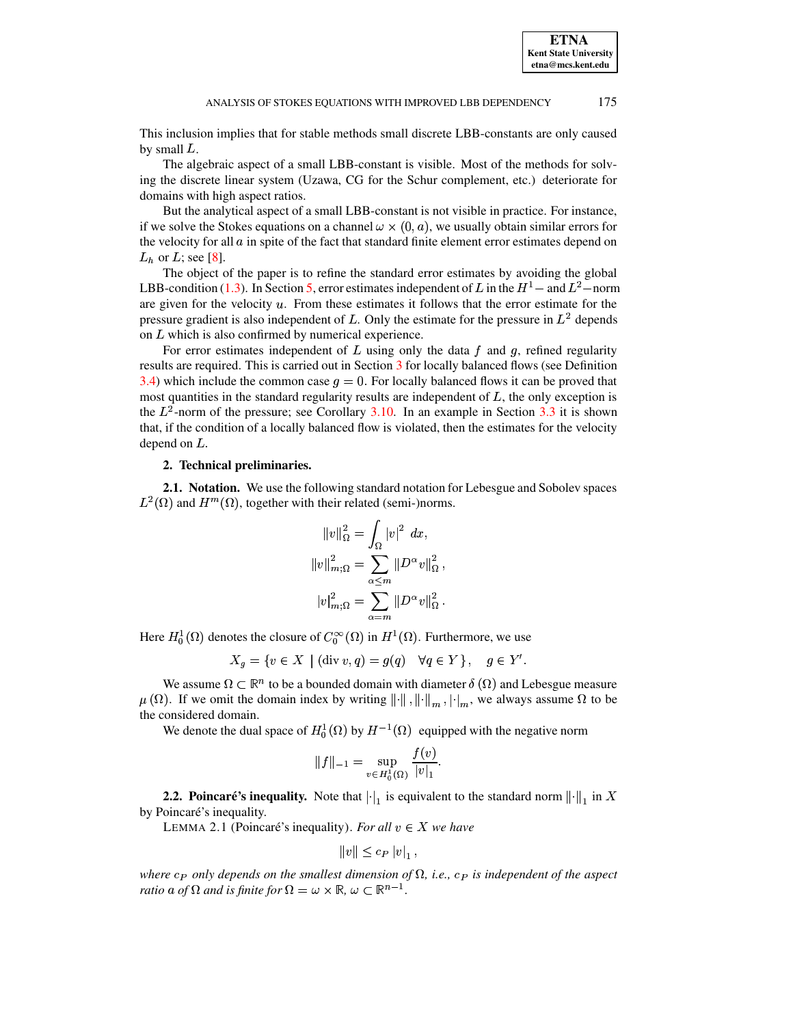**ETNA Kent State University etna@mcs.kent.edu**

This inclusion implies that for stable methods small discrete LBB-constants are only caused by small  $L$ .

The algebraic aspect of a small LBB-constant is visible. Most of the methods for solving the discrete linear system (Uzawa, CG for the Schur complement, etc.) deteriorate for domains with high aspect ratios.

But the analytical aspect of a small LBB-constant is not visible in practice. For instance, if we solve the Stokes equations on a channel  $\omega \times (0, a)$ , we usually obtain similar errors for the velocity for all  $\alpha$  in spite of the fact that standard finite element error estimates depend on  $L_h$  or  $L$ ; see [\[8\]](#page-16-2).

The object of the paper is to refine the standard error estimates by avoiding the global LBB-condition [\(1.3\)](#page-1-0). In Section [5,](#page-11-0) error estimates independent of L in the  $H<sup>1</sup>$  – and  $L<sup>2</sup>$ –norm are given for the velocity  $u$ . From these estimates it follows that the error estimate for the pressure gradient is also independent of L. Only the estimate for the pressure in  $L^2$  depends on  $L$  which is also confirmed by numerical experience.

For error estimates independent of  $L$  using only the data  $f$  and  $g$ , refined regularity results are required. This is carried out in Section [3](#page-4-0) for locally balanced flows (see Definition [3.4\)](#page-6-0) which include the common case  $q=0$ . For locally balanced flows it can be proved that most quantities in the standard regularity results are independent of  $L$ , the only exception is the  $L^2$ -norm of the pressure; see Corollary [3.10.](#page-8-0) In an example in Section [3.3](#page-8-1) it is shown that, if the condition of a locally balanced flow is violated, then the estimates for the velocity depend on  $L$ .

# **2. Technical preliminaries.**

<span id="page-2-0"></span>**2.1. Notation.** We use the following standard notation for Lebesgue and Sobolev spaces  $L^2(\Omega)$  and  $H^m(\Omega)$ , together with their related (semi-)norms.

$$
||v||_{\Omega}^{2} = \int_{\Omega} |v|^{2} dx,
$$
  

$$
||v||_{m;\Omega}^{2} = \sum_{\alpha \leq m} ||D^{\alpha}v||_{\Omega}^{2},
$$
  

$$
|v|_{m;\Omega}^{2} = \sum_{\alpha=m}^{m} ||D^{\alpha}v||_{\Omega}^{2}.
$$

Here  $H_0^1(\Omega)$  denotes the closure of  $C_0^{\infty}(\Omega)$  in  $H^1(\Omega)$ . Furthermore, we use

 $X_g = \{v \in X \mid (\text{div } v, q) = g(q) \quad \forall q \in Y\}, \quad g \in Y'.$ <br>  $\bigcup_{v \in \mathbb{R}^n} f(v)$  is been bounded domain with diameter  $\delta(\Omega)$  and I share.

We assume  $\Omega \subset \mathbb{R}^n$  to be a bounded domain with diameter  $\delta(\Omega)$  and Lebesgue measure  $\mu(\Omega)$ . If we omit the domain index by writing  $\|\cdot\|$ ,  $\|\cdot\|_m$ ,  $\|\cdot\|_m$ , we always assume  $\Omega$  to be the considered domain.

We denote the dual space of  $H_0^1(\Omega)$  by  $H^{-1}(\Omega)$  equipped with the negative norm

$$
\|f\|_{-1}=\sup_{v\in H^1_0(\Omega)}\frac{f(v)}{|v|_1}.
$$

2.2. Poincaré's inequality. Note that  $\begin{vmatrix} u_1 & u_2 & v_1 \end{vmatrix}$  is equivalent to the standard norm  $\begin{vmatrix} \cdot \end{vmatrix}$  in X by Poincaré's inequality.

LEMMA 2.1 (Poincaré's inequality). *For all*  $v \in X$  *we have* 

$$
||v|| \leq c_P |v|_1,
$$

 $||v|| \leq c_P |v|_1$ ,<br>where  $c_P$  only depends on the smallest dimension of  $\Omega$ , i.e.,  $c_P$  is independent of the aspect *ratio* a of  $\Omega$  *and is finite for*  $\Omega = \omega \times \mathbb{R}, \omega \subset \mathbb{R}^{n-1}$ .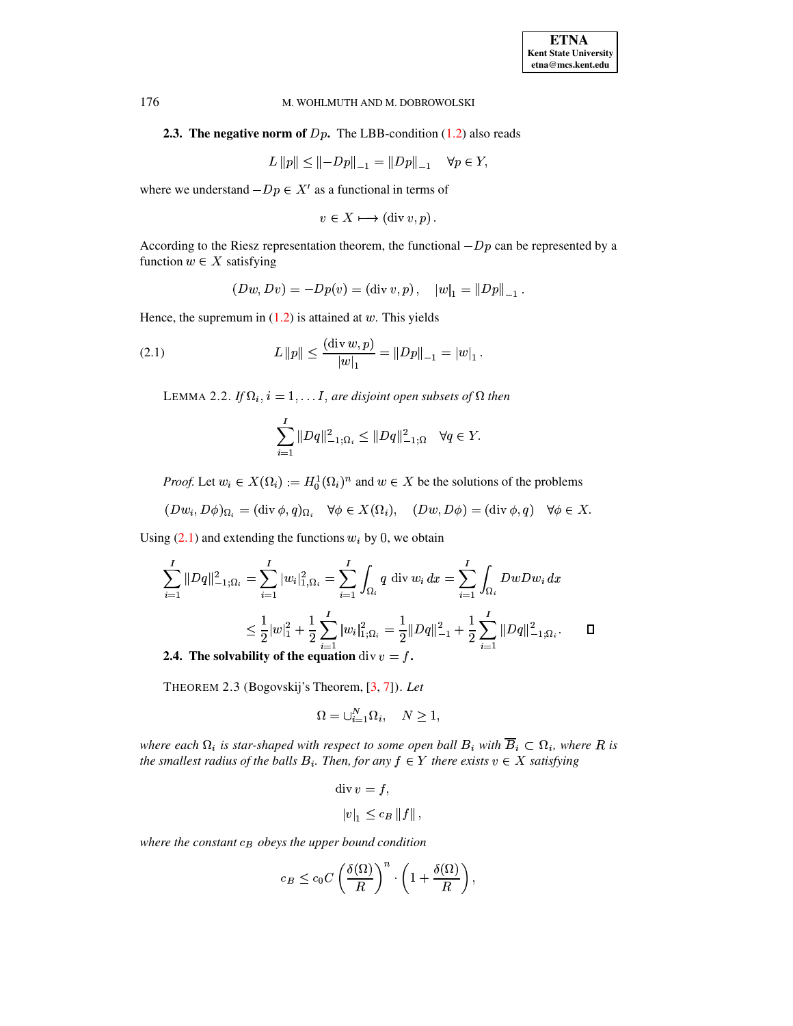# **2.3. The negative norm of**  $Dp$ . The LBB-condition (1.2) also reads

$$
L ||p|| \le ||-Dp||_{-1} = ||Dp||_{-1} \quad \forall p \in Y,
$$

where we understand  $-Dp \in X'$  as a functional in terms of

$$
v \in X \longmapsto (\operatorname{div} v, p) .
$$

According to the Riesz representation theorem, the functional  $-Dp$  can be represented by a function  $w \in X$  satisfying

$$
(Dw, Dv) = -Dp(v) = (\text{div } v, p), \quad |w|_1 = ||Dp||_{-1}.
$$

Hence, the supremum in  $(1.2)$  is attained at w. This yields

<span id="page-3-2"></span><span id="page-3-0"></span>(2.1) 
$$
L \|p\| \le \frac{(\text{div } w, p)}{|w|_1} = \|Dp\|_{-1} = |w|_1.
$$

LEMMA 2.2. If  $\Omega_i$ ,  $i = 1, \ldots I$ , are disjoint open subsets of  $\Omega$  then

$$
\sum_{i=1}^{I} \|Dq\|_{-1;\Omega_i}^2 \le \|Dq\|_{-1;\Omega}^2 \quad \forall q \in Y.
$$

*Proof.* Let  $w_i \in X(\Omega_i) := H_0^1(\Omega_i)^n$  and  $w \in X$  be the solutions of the problems

 $(Dw_i, D\phi)_{\Omega_i} = (\text{div }\phi, q)_{\Omega_i} \quad \forall \phi \in X(\Omega_i), \quad (Dw, D\phi) = (\text{div }\phi, q) \quad \forall \phi \in X.$ 

Using  $(2.1)$  and extending the functions  $w_i$  by 0, we obtain

$$
\sum_{i=1}^{I} ||Dq||_{-1;\Omega_i}^2 = \sum_{i=1}^{I} |w_i|_{1;\Omega_i}^2 = \sum_{i=1}^{I} \int_{\Omega_i} q \operatorname{div} w_i dx = \sum_{i=1}^{I} \int_{\Omega_i} DwDw_i dx
$$
  

$$
\leq \frac{1}{2} |w|_1^2 + \frac{1}{2} \sum_{i=1}^{I} |w_i|_{1;\Omega_i}^2 = \frac{1}{2} ||Dq||_{-1}^2 + \frac{1}{2} \sum_{i=1}^{I} ||Dq||_{-1;\Omega_i}^2.
$$

<span id="page-3-1"></span>2.4. The solvability of the equation div  $v = f$ .

THEOREM 2.3 (Bogovskij's Theorem, [3, 7]). Let

$$
\Omega = \cup_{i=1}^{N} \Omega_i, \quad N \ge 1,
$$

where each  $\Omega_i$  is star-shaped with respect to some open ball  $B_i$  with  $\overline{B}_i \subset \Omega_i$ , where R is the smallest radius of the balls  $B_i$ . Then, for any  $f \in Y$  there exists  $v \in X$  satisfying

$$
\text{div } v = f,
$$
  

$$
|v|_1 \leq c_B \|f\|,
$$

where the constant  $c_B$  obeys the upper bound condition

$$
c_B \leq c_0 C \left(\frac{\delta(\Omega)}{R}\right)^n \cdot \left(1 + \frac{\delta(\Omega)}{R}\right),
$$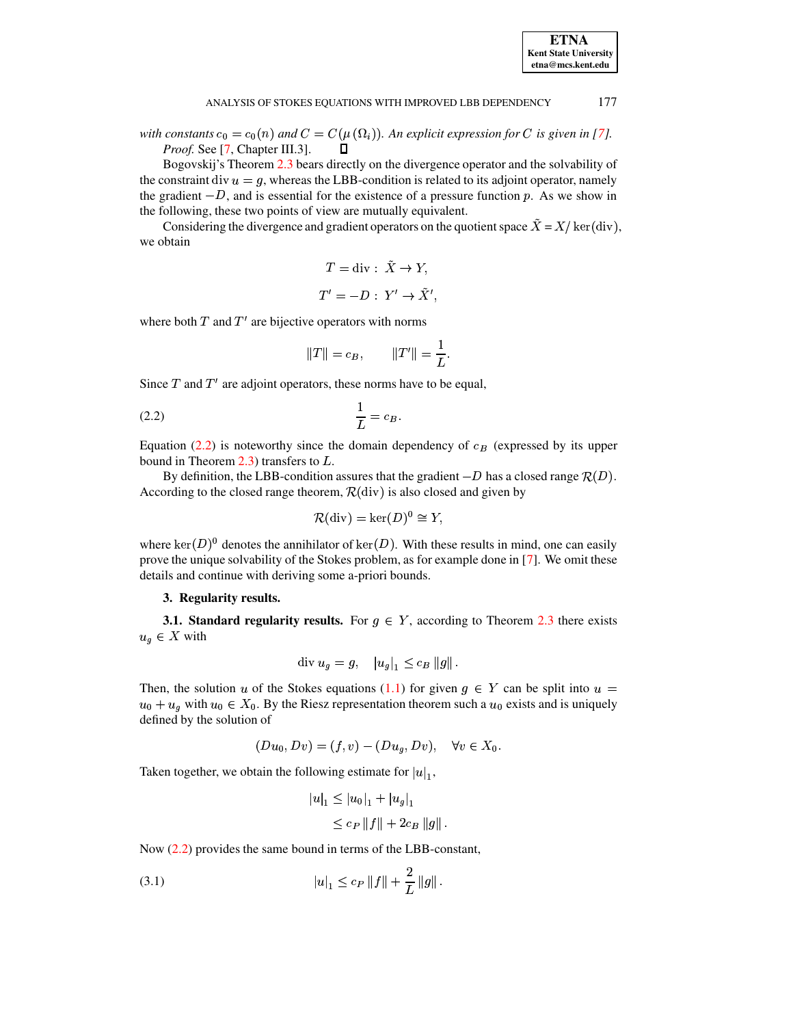with constants  $c_0 = c_0(n)$  and  $C = C(\mu(\Omega_i))$ . An explicit expression for C is given in [7]. Proof. See [7, Chapter III.3]. п

Bogovskij's Theorem 2.3 bears directly on the divergence operator and the solvability of the constraint div  $u = g$ , whereas the LBB-condition is related to its adjoint operator, namely the gradient  $-D$ , and is essential for the existence of a pressure function p. As we show in the following, these two points of view are mutually equivalent.

Considering the divergence and gradient operators on the quotient space  $\ddot{X} = X/\ker(\text{div})$ , we obtain

$$
T = \text{div} : \tilde{X} \to Y,
$$
  

$$
T' = -D : Y' \to \tilde{X}',
$$

where both  $T$  and  $T'$  are bijective operators with norms

$$
||T|| = c_B,
$$
  $||T'|| = \frac{1}{L}.$ 

Since  $T$  and  $T'$  are adjoint operators, these norms have to be equal,

<span id="page-4-1"></span>
$$
\frac{1}{L} = c_B
$$

Equation (2.2) is noteworthy since the domain dependency of  $c_B$  (expressed by its upper bound in Theorem 2.3) transfers to  $L$ .

By definition, the LBB-condition assures that the gradient  $-D$  has a closed range  $\mathcal{R}(D)$ . According to the closed range theorem,  $\mathcal{R}$ (div) is also closed and given by

$$
\mathcal{R}(\text{div}) = \text{ker}(D)^0 \cong Y,
$$

where  $\ker(D)^0$  denotes the annihilator of  $\ker(D)$ . With these results in mind, one can easily prove the unique solvability of the Stokes problem, as for example done in  $[7]$ . We omit these details and continue with deriving some a-priori bounds.

# 3. Regularity results.

<span id="page-4-0"></span>**3.1. Standard regularity results.** For  $g \in Y$ , according to Theorem 2.3 there exists  $u_q \in X$  with

$$
\text{div } u_g = g, \quad |u_g|_1 \leq c_B \|g\|.
$$

Then, the solution u of the Stokes equations (1.1) for given  $g \in Y$  can be split into  $u =$  $u_0 + u_g$  with  $u_0 \in X_0$ . By the Riesz representation theorem such a  $u_0$  exists and is uniquely defined by the solution of

$$
(Du_0, Dv) = (f, v) - (Du_g, Dv), \quad \forall v \in X_0.
$$

Taken together, we obtain the following estimate for  $|u|_1$ ,

$$
u|_1 \le |u_0|_1 + |u_g|_1
$$
  
 
$$
\le c_P ||f|| + 2c_B ||g||.
$$

Now  $(2.2)$  provides the same bound in terms of the LBB-constant,

<span id="page-4-2"></span>(3.1) 
$$
|u|_1 \leq c_P \|f\| + \frac{2}{L} \|g\|.
$$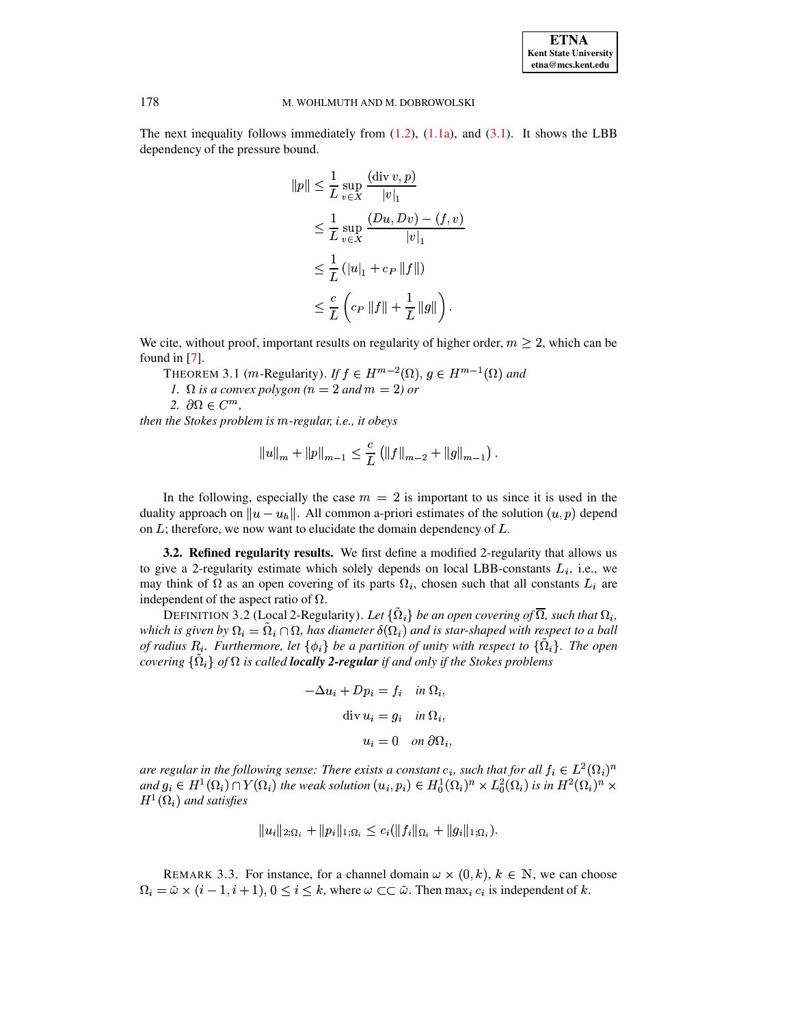The next inequality follows immediately from  $(1.2)$ ,  $(1.1a)$ , and  $(3.1)$ . It shows the LBB dependency of the pressure bound.

$$
||p|| \leq \frac{1}{L} \sup_{v \in X} \frac{(\text{div } v, p)}{|v|_1}
$$
  
\n
$$
\leq \frac{1}{L} \sup_{v \in X} \frac{(Du, Dv) - (f, v)}{|v|_1}
$$
  
\n
$$
\leq \frac{1}{L} (|u|_1 + c_P ||f||)
$$
  
\n
$$
\leq \frac{c}{L} \left( c_P ||f|| + \frac{1}{L} ||g|| \right).
$$

We cite, without proof, important results on regularity of higher order,  $m \geq 2$ , which can be found in  $[7]$ .

THEOREM 3.1 (*m*-Regularity). If  $f \in H^{m-2}(\Omega)$ ,  $g \in H^{m-1}(\Omega)$  and

1.  $\Omega$  is a convex polygon (n = 2 and m = 2) or

2.  $\partial\Omega \in C^m$ .

then the Stokes problem is m-regular, i.e., it obeys

$$
||u||_{m} + ||p||_{m-1} \leq \frac{c}{L} (||f||_{m-2} + ||g||_{m-1}).
$$

In the following, especially the case  $m = 2$  is important to us since it is used in the duality approach on  $||u - u_h||$ . All common a-priori estimates of the solution  $(u, p)$  depend on  $L$ ; therefore, we now want to elucidate the domain dependency of  $L$ .

**3.2. Refined regularity results.** We first define a modified 2-regularity that allows us to give a 2-regularity estimate which solely depends on local LBB-constants  $L_i$ , i.e., we may think of  $\Omega$  as an open covering of its parts  $\Omega_i$ , chosen such that all constants  $L_i$  are independent of the aspect ratio of  $\Omega$ .

<span id="page-5-0"></span>DEFINITION 3.2 (Local 2-Regularity). Let  $\{\tilde{\Omega}_i\}$  be an open covering of  $\overline{\Omega}_i$ , such that  $\Omega_i$ , which is given by  $\Omega_i = \tilde{\Omega}_i \cap \Omega$ , has diameter  $\delta(\Omega_i)$  and is star-shaped with respect to a ball of radius  $R_i$ . Furthermore, let  $\{\phi_i\}$  be a partition of unity with respect to  $\{\Omega_i\}$ . The open covering  $\{\tilde{\Omega}_i\}$  of  $\Omega$  is called **locally 2-regular** if and only if the Stokes problems

$$
-\Delta u_i + Dp_i = f_i \quad \text{in } \Omega_i,
$$
  
div  $u_i = g_i \quad \text{in } \Omega_i,$   
 $u_i = 0 \quad \text{on } \partial\Omega_i,$ 

are regular in the following sense: There exists a constant  $c_i$ , such that for all  $f_i \in L^2(\Omega_i)^n$ and  $g_i \in H^1(\Omega_i) \cap Y(\Omega_i)$  the weak solution  $(u_i, p_i) \in H_0^1(\Omega_i)^n \times L_0^2(\Omega_i)$  is in  $H^2(\Omega_i)^n \times$  $H^1(\Omega_i)$  and satisfies

$$
||u_i||_{2;\Omega_i} + ||p_i||_{1;\Omega_i} \leq c_i(||f_i||_{\Omega_i} + ||g_i||_{1;\Omega_i}).
$$

REMARK 3.3. For instance, for a channel domain  $\omega \times (0, k)$ ,  $k \in \mathbb{N}$ , we can choose  $\Omega_i = \tilde{\omega} \times (i-1, i+1), 0 \le i \le k$ , where  $\omega \subset \subset \tilde{\omega}$ . Then  $\max_i c_i$  is independent of k.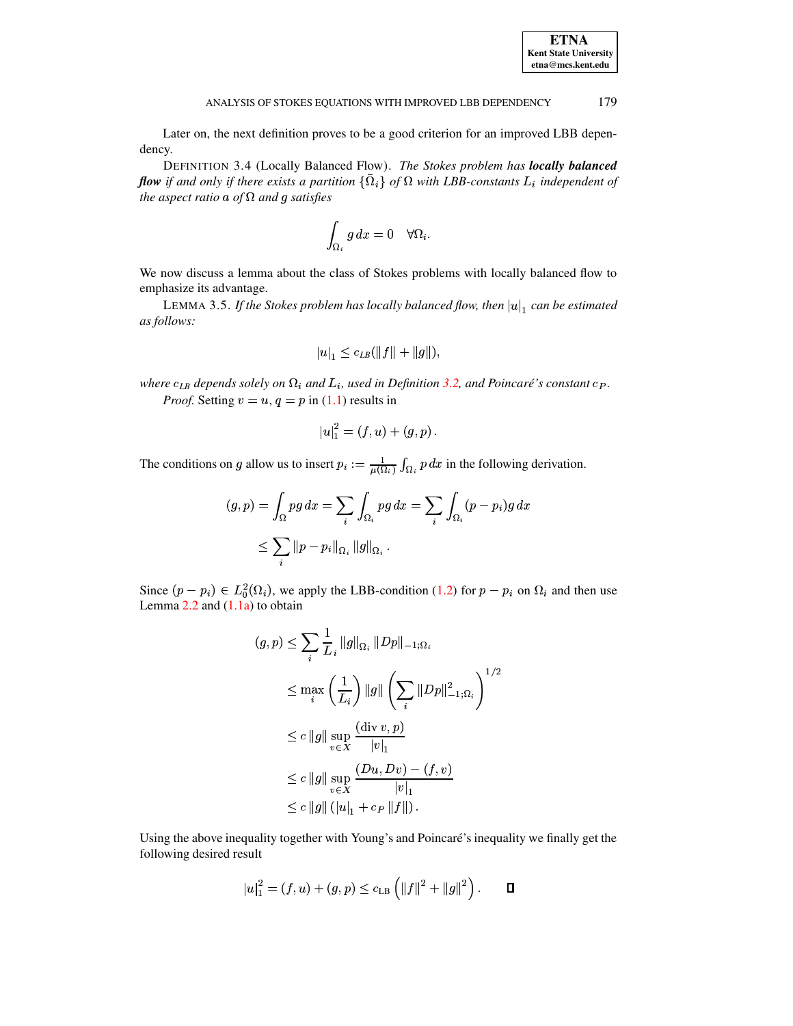<span id="page-6-0"></span>Later on, the next definition proves to be a good criterion for an improved LBB dependency.

DEFINITION 3.4 (Locally Balanced Flow). The Stokes problem has locally balanced **flow** if and only if there exists a partition  $\{\bar{\Omega}_i\}$  of  $\Omega$  with LBB-constants  $L_i$  independent of the aspect ratio a of  $\Omega$  and g satisfies

$$
\int_{\Omega_i} g\,dx=0 \quad \forall \Omega_i
$$

We now discuss a lemma about the class of Stokes problems with locally balanced flow to emphasize its advantage.

<span id="page-6-1"></span>LEMMA 3.5. If the Stokes problem has locally balanced flow, then  $|u|_1$  can be estimated as follows:

$$
|u|_1 \leq c_{LB}(\|f\| + \|g\|),
$$

where  $c_{LB}$  depends solely on  $\Omega_i$  and  $L_i$ , used in Definition 3.2, and Poincaré's constant  $c_P$ . *Proof.* Setting  $v = u$ ,  $q = p$  in (1.1) results in

$$
|u|_1^2 = (f, u) + (g, p).
$$

The conditions on g allow us to insert  $p_i := \frac{1}{\mu(\Omega_i)} \int_{\Omega_i} p \, dx$  in the following derivation.

$$
(g, p) = \int_{\Omega} pg \, dx = \sum_{i} \int_{\Omega_i} pg \, dx = \sum_{i} \int_{\Omega_i} (p - p_i)g \, dx
$$
  

$$
\leq \sum_{i} ||p - p_i||_{\Omega_i} ||g||_{\Omega_i}.
$$

Since  $(p - p_i) \in L_0^2(\Omega_i)$ , we apply the LBB-condition (1.2) for  $p - p_i$  on  $\Omega_i$  and then use Lemma  $2.2$  and  $(1.1a)$  to obtain

$$
(g, p) \le \sum_{i} \frac{1}{L_{i}} \|g\|_{\Omega_{i}} \|Dp\|_{-1; \Omega_{i}}
$$
  
\n
$$
\le \max_{i} \left(\frac{1}{L_{i}}\right) \|g\| \left(\sum_{i} \|Dp\|_{-1; \Omega_{i}}^{2}\right)^{1/2}
$$
  
\n
$$
\le c \|g\| \sup_{v \in X} \frac{(\text{div } v, p)}{|v|_{1}}
$$
  
\n
$$
\le c \|g\| \sup_{v \in X} \frac{(Du, Dv) - (f, v)}{|v|_{1}}
$$
  
\n
$$
\le c \|g\| (|u|_{1} + c_{P} \|f\|).
$$

Using the above inequality together with Young's and Poincaré's inequality we finally get the following desired result

$$
|u|_1^2 = (f, u) + (g, p) \le c_{\text{LB}} \left( ||f||^2 + ||g||^2 \right). \qquad \Box
$$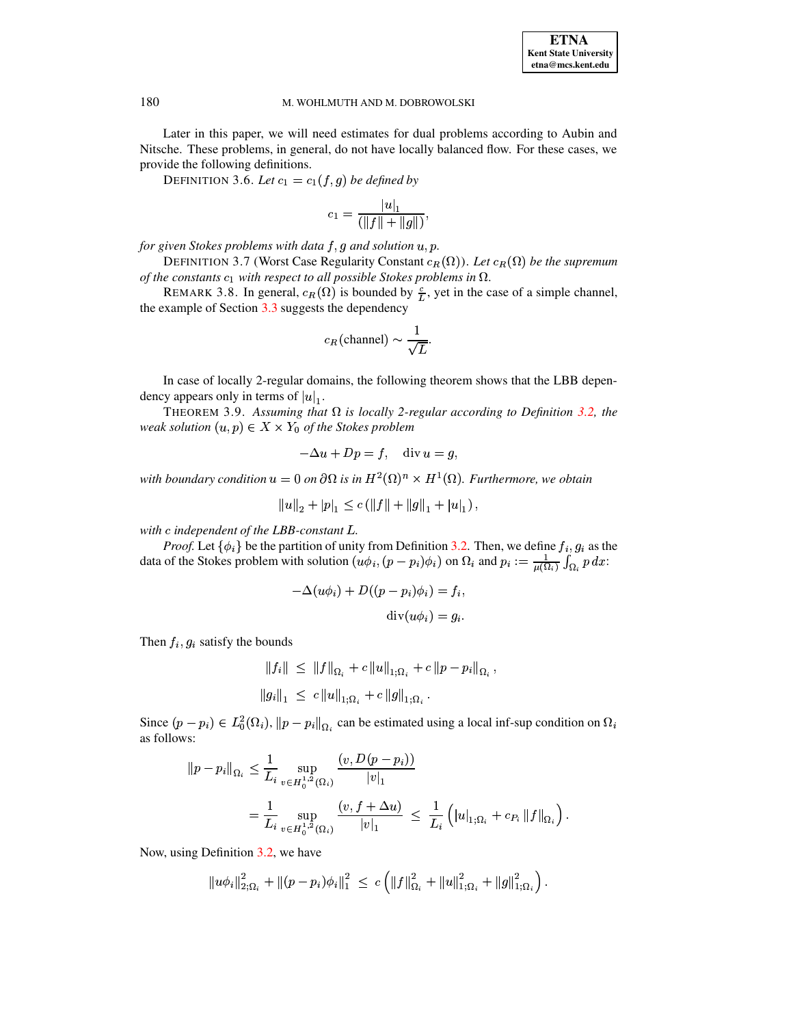Later in this paper, we will need estimates for dual problems according to Aubin and Nitsche. These problems, in general, do not have locally balanced flow. For these cases, we provide the following definitions.

DEFINITION 3.6. Let  $c_1 = c_1(f,g)$  be defined by

$$
c_1 = \frac{|u|_1}{(\|f\| + \|g\|)},
$$

for given Stokes problems with data  $f, g$  and solution  $u, p$ .

DEFINITION 3.7 (Worst Case Regularity Constant  $c_R(\Omega)$ ). Let  $c_R(\Omega)$  be the supremum of the constants  $c_1$  with respect to all possible Stokes problems in  $\Omega$ .

REMARK 3.8. In general,  $c_R(\Omega)$  is bounded by  $\frac{c}{L}$ , yet in the case of a simple channel, the example of Section  $3.3$  suggests the dependency

$$
c_R(\text{channel}) \sim \frac{1}{\sqrt{L}}.
$$

In case of locally 2-regular domains, the following theorem shows that the LBB dependency appears only in terms of  $|u|_1$ .

THEOREM 3.9. Assuming that  $\Omega$  is locally 2-regular according to Definition 3.2, the weak solution  $(u, p) \in X \times Y_0$  of the Stokes problem

<span id="page-7-0"></span>
$$
-\Delta u + Dp = f, \quad \text{div } u = g,
$$

with boundary condition  $u = 0$  on  $\partial\Omega$  is in  $H^2(\Omega)^n \times H^1(\Omega)$ . Furthermore, we obtain

$$
||u||_2 + |p|_1 \le c \left( ||f|| + ||g||_1 + |u|_1 \right),
$$

with c independent of the LBB-constant L.

*Proof.* Let  $\{\phi_i\}$  be the partition of unity from Definition 3.2. Then, we define  $f_i, g_i$  as the data of the Stokes problem with solution  $(u\phi_i, (p-p_i)\phi_i)$  on  $\Omega_i$  and  $p_i := \frac{1}{\mu(\Omega_i)} \int_{\Omega_i} p dx$ :

$$
-\Delta(u\phi_i) + D((p - p_i)\phi_i) = f_i,
$$
  
div $(u\phi_i) = g_i.$ 

Then  $f_i, g_i$  satisfy the bounds

$$
||f_i|| \leq ||f||_{\Omega_i} + c ||u||_{1;\Omega_i} + c ||p - p_i||_{\Omega_i},
$$
  

$$
||g_i||_1 \leq c ||u||_{1;\Omega_i} + c ||g||_{1;\Omega_i}.
$$

Since  $(p - p_i) \in L_0^2(\Omega_i)$ ,  $||p - p_i||_{\Omega_i}$  can be estimated using a local inf-sup condition on  $\Omega_i$ as follows:

$$
\begin{split} ||p - p_i||_{\Omega_i} &\leq \frac{1}{L_i} \sup_{v \in H_0^{1,2}(\Omega_i)} \frac{(v, D(p - p_i))}{|v|_1} \\ &= \frac{1}{L_i} \sup_{v \in H_0^{1,2}(\Omega_i)} \frac{(v, f + \Delta u)}{|v|_1} \leq \frac{1}{L_i} \left( |u|_{1;\Omega_i} + c_{P_i} ||f||_{\Omega_i} \right). \end{split}
$$

Now, using Definition 3.2, we have

$$
||u\phi_i||_{2;\Omega_i}^2 + ||(p-p_i)\phi_i||_1^2 \leq c \left( ||f||_{\Omega_i}^2 + ||u||_{1;\Omega_i}^2 + ||g||_{1;\Omega_i}^2 \right).
$$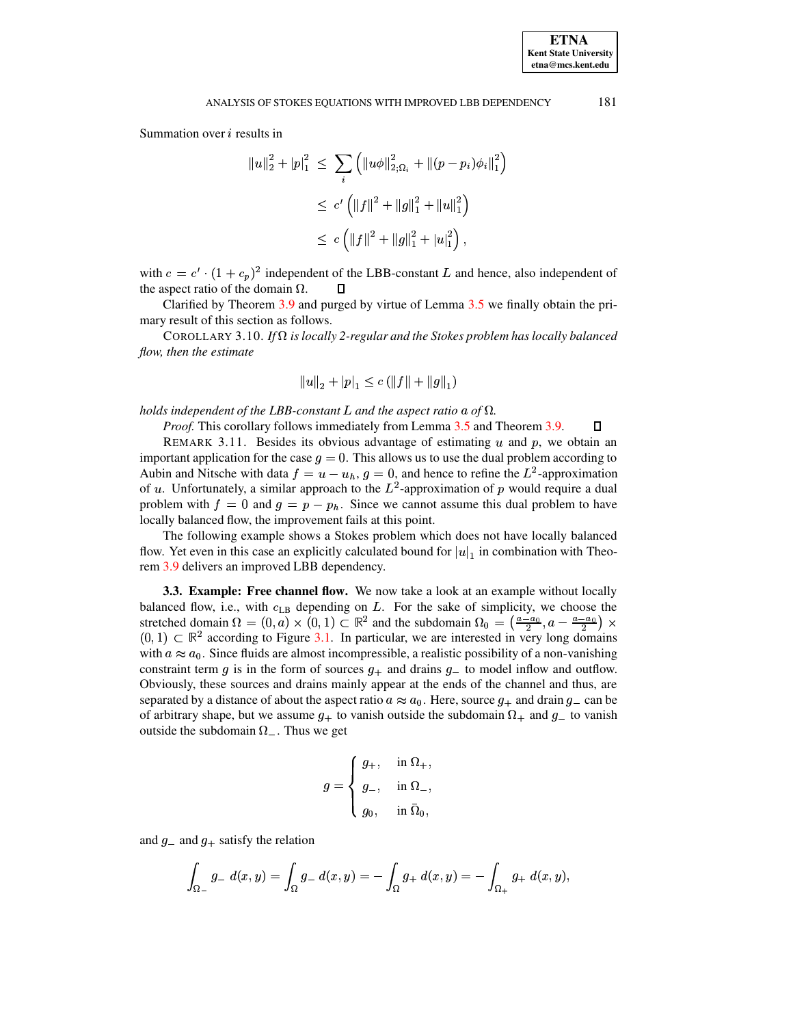Summation over  $i$  results in

$$
||u||_2^2 + |p|_1^2 \le \sum_i (||u\phi||_{2;\Omega_i}^2 + ||(p - p_i)\phi_i||_1^2)
$$
  
\n
$$
\le c' (||f||^2 + ||g||_1^2 + ||u||_1^2)
$$
  
\n
$$
\le c (||f||^2 + ||g||_1^2 + |u|_1^2),
$$

with  $c = c' \cdot (1 + c_p)^2$  independent of the LBB-constant L and hence, also independent of the aspect ratio of the domain  $\Omega$ . П

Clarified by Theorem 3.9 and purged by virtue of Lemma 3.5 we finally obtain the primary result of this section as follows.

<span id="page-8-0"></span>COROLLARY 3.10. If  $\Omega$  is locally 2-regular and the Stokes problem has locally balanced flow, then the estimate

$$
||u||_2 + |p|_1 \le c \left( ||f|| + ||g||_1 \right)
$$

holds independent of the LBB-constant L and the aspect ratio a of  $\Omega$ .

*Proof.* This corollary follows immediately from Lemma 3.5 and Theorem 3.9.

# $\Box$

REMARK 3.11. Besides its obvious advantage of estimating  $u$  and  $p$ , we obtain an important application for the case  $g = 0$ . This allows us to use the dual problem according to Aubin and Nitsche with data  $f = u - u_h$ ,  $g = 0$ , and hence to refine the  $L^2$ -approximation of u. Unfortunately, a similar approach to the  $L^2$ -approximation of p would require a dual problem with  $f = 0$  and  $g = p - p_h$ . Since we cannot assume this dual problem to have locally balanced flow, the improvement fails at this point.

The following example shows a Stokes problem which does not have locally balanced flow. Yet even in this case an explicitly calculated bound for  $|u|_1$  in combination with Theorem 3.9 delivers an improved LBB dependency.

<span id="page-8-1"></span>3.3. Example: Free channel flow. We now take a look at an example without locally balanced flow, i.e., with  $c_{LB}$  depending on  $L$ . For the sake of simplicity, we choose the stretched domain  $\Omega = (0, a) \times (0, 1) \subset \mathbb{R}^2$  and the subdomain  $\Omega_0 = \left(\frac{a-a_0}{2}, a - \frac{a-a_0}{2}\right) \times$  $(0,1) \subset \mathbb{R}^2$  according to Figure 3.1. In particular, we are interested in very long domains with  $a \approx a_0$ . Since fluids are almost incompressible, a realistic possibility of a non-vanishing constraint term g is in the form of sources  $g_+$  and drains  $g_-$  to model inflow and outflow. Obviously, these sources and drains mainly appear at the ends of the channel and thus, are separated by a distance of about the aspect ratio  $a \approx a_0$ . Here, source  $g_+$  and drain  $g_-$  can be of arbitrary shape, but we assume  $g_{+}$  to vanish outside the subdomain  $\Omega_{+}$  and  $g_{-}$  to vanish outside the subdomain  $\Omega_{-}$ . Thus we get

$$
g = \begin{cases} g_+, & \text{in } \Omega_+, \\ g_-, & \text{in } \Omega_-, \\ g_0, & \text{in } \bar{\Omega}_0, \end{cases}
$$

and  $g$ <sub>-</sub> and  $g$ <sub>+</sub> satisfy the relation

$$
\int_{\Omega} g_{-} d(x, y) = \int_{\Omega} g_{-} d(x, y) = - \int_{\Omega} g_{+} d(x, y) = - \int_{\Omega} g_{+} d(x, y),
$$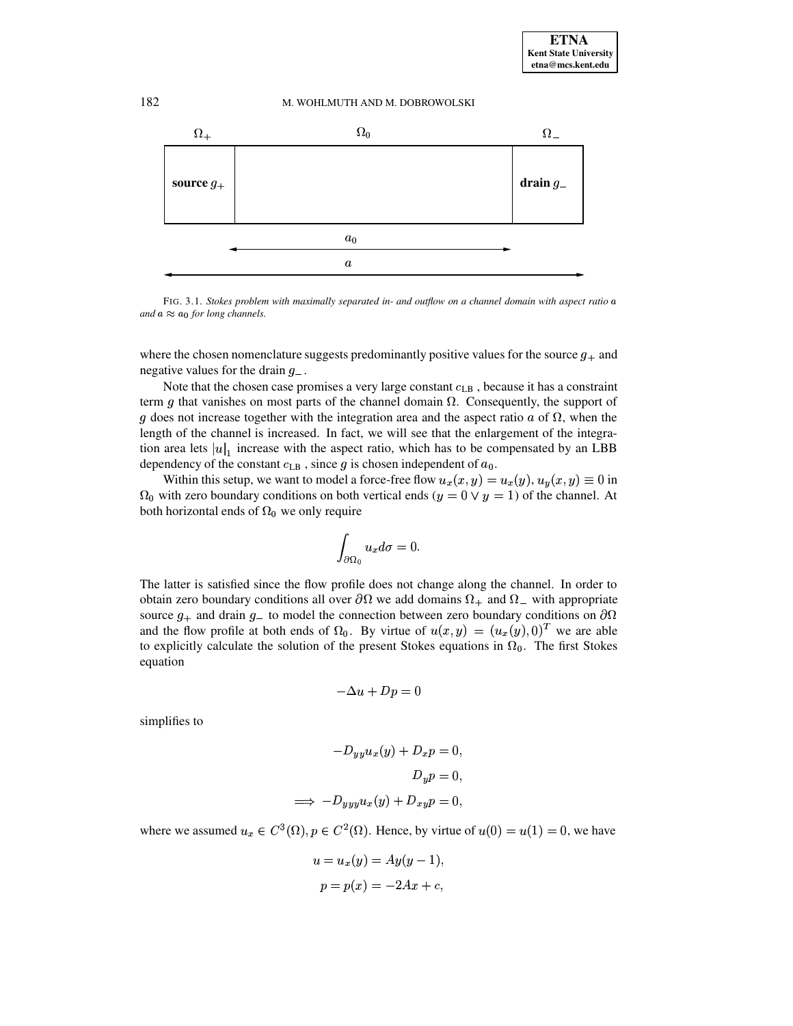

<span id="page-9-0"></span>FIG. 3.1. Stokes problem with maximally separated in- and outflow on a channel domain with aspect ratio a and  $a \approx a_0$  for long channels.

where the chosen nomenclature suggests predominantly positive values for the source  $q_{+}$  and negative values for the drain  $g_{-}$ .

Note that the chosen case promises a very large constant  $c_{LB}$ , because it has a constraint term g that vanishes on most parts of the channel domain  $\Omega$ . Consequently, the support of g does not increase together with the integration area and the aspect ratio  $a$  of  $\Omega$ , when the length of the channel is increased. In fact, we will see that the enlargement of the integration area lets  $|u|_1$  increase with the aspect ratio, which has to be compensated by an LBB dependency of the constant  $c_{LB}$ , since g is chosen independent of  $a_0$ .

Within this setup, we want to model a force-free flow  $u_x(x, y) = u_x(y), u_y(x, y) \equiv 0$  in  $\Omega_0$  with zero boundary conditions on both vertical ends  $(y = 0 \lor y = 1)$  of the channel. At both horizontal ends of  $\Omega_0$  we only require

$$
\int_{\partial\Omega_0}u_x d\sigma=0
$$

The latter is satisfied since the flow profile does not change along the channel. In order to obtain zero boundary conditions all over  $\partial\Omega$  we add domains  $\Omega_+$  and  $\Omega_-$  with appropriate source  $q_+$  and drain  $q_-$  to model the connection between zero boundary conditions on  $\partial\Omega$ and the flow profile at both ends of  $\Omega_0$ . By virtue of  $u(x, y) = (u_x(y), 0)^T$  we are able to explicitly calculate the solution of the present Stokes equations in  $\Omega_0$ . The first Stokes equation

$$
-\Delta u + Dp = 0
$$

simplifies to

$$
-D_{yy}u_x(y) + D_x p = 0,
$$
  
\n
$$
D_y p = 0,
$$
  
\n
$$
\implies -D_{yyy}u_x(y) + D_{xy}p = 0,
$$

where we assumed  $u_x \in C^3(\Omega)$ ,  $p \in C^2(\Omega)$ . Hence, by virtue of  $u(0) = u(1) = 0$ , we have

$$
u = u_x(y) = Ay(y - 1),
$$
  

$$
p = p(x) = -2Ax + c,
$$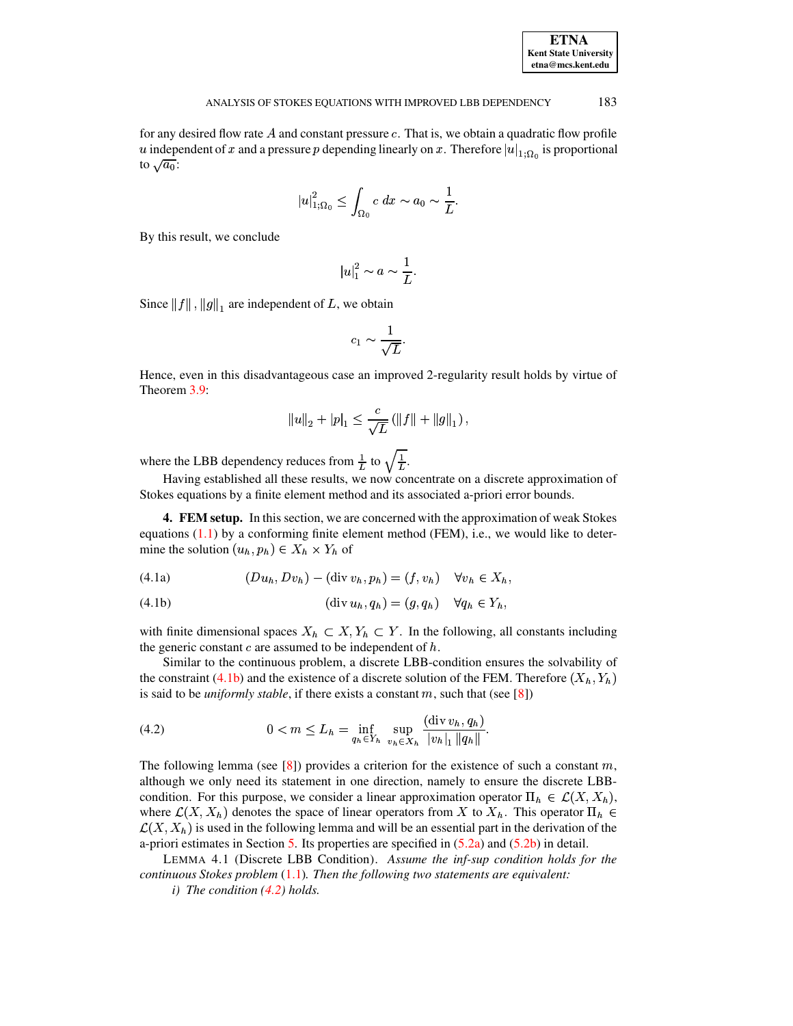| <b>ETNA</b>                  |
|------------------------------|
| <b>Kent State University</b> |
| etna@mcs.kent.edu            |

for any desired flow rate  $A$  and constant pressure  $c$ . That is, we obtain a quadratic flow profile *u* independent of *x* and a pressure *p* depending linearly on *x*. Therefore  $|u|_{1;\Omega_0}$  is proportional to  $\sqrt{a_0}$ : to  $\sqrt{a_0}$ :

$$
|u|_{1;\Omega_0}^2 \leq \int_{\Omega_0} c\ dx \sim a_0 \sim \frac{1}{L}.
$$

By this result, we conclude

$$
|u|_1^2 \sim a \sim \frac{1}{L}.
$$

Since  $||f||$ ,  $||g||_1$  are independent of L, we obtain

$$
c_1 \sim \frac{1}{\sqrt{L}}.
$$

Hence, even in this disadvantageous case an improved 2-regularity result holds by virtue of Theorem [3.9:](#page-7-0)

$$
||u||_2 + |p|_1 \leq \frac{c}{\sqrt{L}} (||f|| + ||g||_1),
$$

where the LBB dependency reduces from  $\frac{1}{L}$  to  $\sqrt{\frac{1}{L}}$ .

Having established all these results, we now concentrate on a discrete approximation of Stokes equations by a finite element method and its associated a-priori error bounds.

**4. FEM setup.** In this section, we are concerned with the approximation of weak Stokes equations  $(1.1)$  by a conforming finite element method (FEM), i.e., we would like to determine the solution  $(u_h, p_h) \in X_h \times Y_h$  of

<span id="page-10-3"></span>
$$
(4.1a) \qquad (Du_h, Dv_h) - (\operatorname{div} v_h, p_h) = (f, v_h) \quad \forall v_h \in X_h,
$$

<span id="page-10-1"></span>(4.1b)  $(\text{div } u_h, q_h) = (g, q_h) \quad \forall q_h \in Y_h,$ 

with finite dimensional spaces  $X_h \subset X, Y_h \subset Y$ . In the following, all constants including the generic constant  $c$  are assumed to be independent of  $h$ .

Similar to the continuous problem, a discrete LBB-condition ensures the solvability of the constraint [\(4.1b\)](#page-10-1) and the existence of a discrete solution of the FEM. Therefore  $(X_h, Y_h)$ is said to be *uniformly stable*, if there exists a constant  $m$ , such that (see [\[8\]](#page-16-2))

<span id="page-10-2"></span>(4.2) 
$$
0 < m \leq L_h = \inf_{q_h \in Y_h} \sup_{v_h \in X_h} \frac{(\text{div } v_h, q_h)}{|v_h|_1 \|q_h\|}.
$$

The following lemma (see [\[8\]](#page-16-2)) provides a criterion for the existence of such a constant  $m$ , although we only need its statement in one direction, namely to ensure the discrete LBBcondition. For this purpose, we consider a linear approximation operator  $\Pi_h \in \mathcal{L}(X, X_h)$ , where  $\mathcal{L}(X, X_h)$  denotes the space of linear operators from X to  $X_h$ . This operator  $\Pi_h \in$  $\mathcal{L}(X,X_h)$  is used in the following lemma and will be an essential part in the derivation of the a-priori estimates in Section [5.](#page-11-0) Its properties are specified in [\(5.2a\)](#page-11-1) and [\(5.2b\)](#page-11-2) in detail.

LEMMA 4.1 (Discrete LBB Condition). *Assume the inf-sup condition holds for the continuous Stokes problem* [\(1.1\)](#page-0-2)*. Then the following two statements are equivalent:*

<span id="page-10-0"></span>*i) The condition [\(4.2\)](#page-10-2) holds.*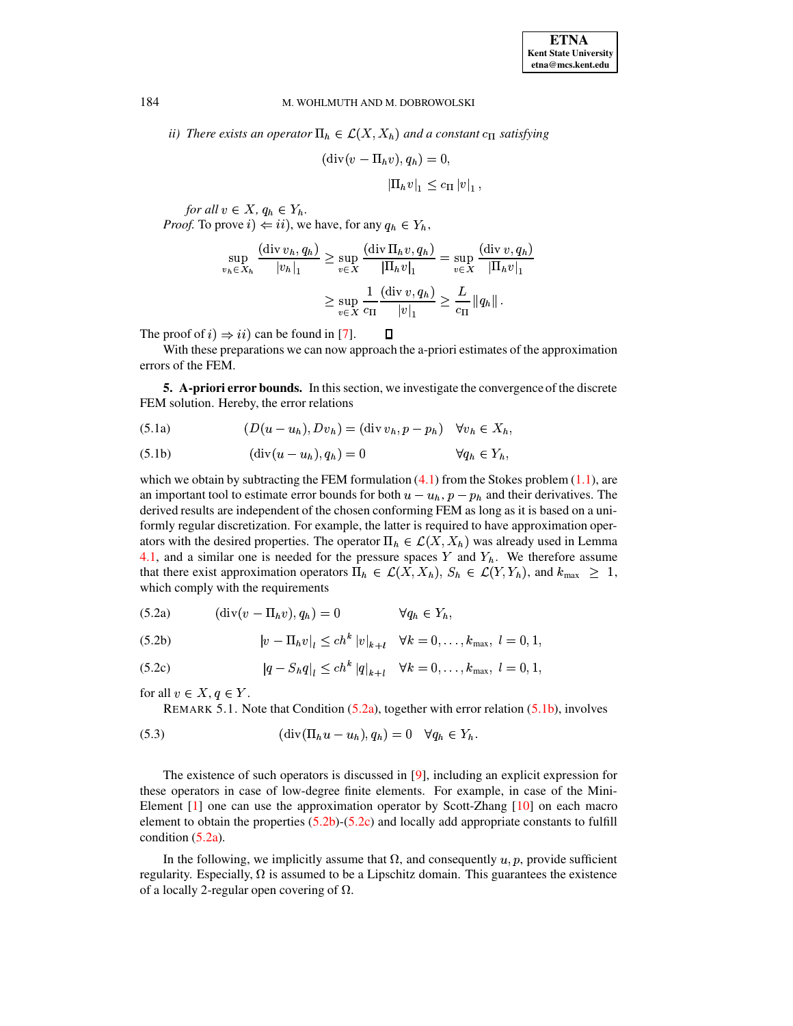*ii*) There exists an operator  $\Pi_h \in \mathcal{L}(X, X_h)$  and a constant  $c_{\Pi}$  satisfying

$$
(\text{div}(v - \Pi_h v), q_h) = 0,
$$
  

$$
|\Pi_h v|_1 \leq c_{\Pi} |v|_1,
$$

*for all*  $v \in X$ ,  $q_h \in Y_h$ . *Proof.* To prove  $i$ )  $\Leftarrow$   $ii$ ), we have, for any  $q_h \in Y_h$ ,

$$
\sup_{v_h \in X_h} \frac{(\text{div } v_h, q_h)}{|v_h|_1} \ge \sup_{v \in X} \frac{(\text{div } \Pi_h v, q_h)}{|\Pi_h v|_1} = \sup_{v \in X} \frac{(\text{div } v, q_h)}{|\Pi_h v|_1}
$$

$$
\ge \sup_{v \in X} \frac{1}{c_{\Pi}} \frac{(\text{div } v, q_h)}{|v|_1} \ge \frac{L}{c_{\Pi}} ||q_h||.
$$

The proof of  $i) \Rightarrow ii)$  can be found in [\[7\]](#page-16-0).

With these preparations we can now approach the a-priori estimates of the approximation errors of the FEM.

 $\Box$ 

<span id="page-11-0"></span>**5. A-priori error bounds.** In this section, we investigate the convergence of the discrete FEM solution. Hereby, the error relations

<span id="page-11-8"></span><span id="page-11-6"></span>
$$
(5.1a) \qquad (D(u - u_h), Dv_h) = (\text{div } v_h, p - p_h) \quad \forall v_h \in X_h,
$$

<span id="page-11-3"></span>
$$
(5.1b) \qquad (\operatorname{div}(u - u_h), q_h) = 0 \qquad \forall q_h \in Y_h,
$$

which we obtain by subtracting the FEM formulation  $(4.1)$  from the Stokes problem  $(1.1)$ , are an important tool to estimate error bounds for both  $u - u_h$ ,  $p - p_h$  and their derivatives. The derived results are independent of the chosen conforming FEM as long as it is based on a uniformly regular discretization. For example, the latter is required to have approximation operators with the desired properties. The operator  $\Pi_h \in \mathcal{L}(X, X_h)$  was already used in Lemma [4.1,](#page-10-0) and a similar one is needed for the pressure spaces Y and  $Y_h$ . We therefore assume that there exist approximation operators  $\Pi_h \in \mathcal{L}(X, X_h)$ ,  $S_h \in \mathcal{L}(Y, Y_h)$ , and  $k_{\text{max}} \geq 1$ , which comply with the requirements

<span id="page-11-5"></span><span id="page-11-1"></span>(5.2a) 
$$
(\text{div}(v - \Pi_h v), q_h) = 0 \qquad \forall q_h \in Y_h,
$$

<span id="page-11-2"></span>(5.2b) 
$$
|v - \Pi_h v|_l \le ch^k |v|_{k+l} \quad \forall k = 0, ..., k_{\max}, l = 0, 1,
$$

<span id="page-11-4"></span>(5.2c) 
$$
|q - S_h q|_l \le ch^k |q|_{k+l} \quad \forall k = 0, ..., k_{\text{max}}, l = 0, 1,
$$

<span id="page-11-7"></span>for all  $v \in X, q \in Y$ .

REMARK 5.1. Note that Condition  $(5.2a)$ , together with error relation  $(5.1b)$ , involves

$$
(5.3) \qquad (\text{div}(\Pi_h u - u_h), q_h) = 0 \quad \forall q_h \in Y_h.
$$

The existence of such operators is discussed in [\[9\]](#page-16-3), including an explicit expression for these operators in case of low-degree finite elements. For example, in case of the Mini-Element [\[1\]](#page-15-4) one can use the approximation operator by Scott-Zhang [\[10\]](#page-16-4) on each macro element to obtain the properties [\(5.2b\)](#page-11-2)-[\(5.2c\)](#page-11-4) and locally add appropriate constants to fulfill condition [\(5.2a\)](#page-11-1).

In the following, we implicitly assume that  $\Omega$ , and consequently  $u, p$ , provide sufficient regularity. Especially,  $\Omega$  is assumed to be a Lipschitz domain. This guarantees the existence of a locally 2-regular open covering of  $\Omega$ .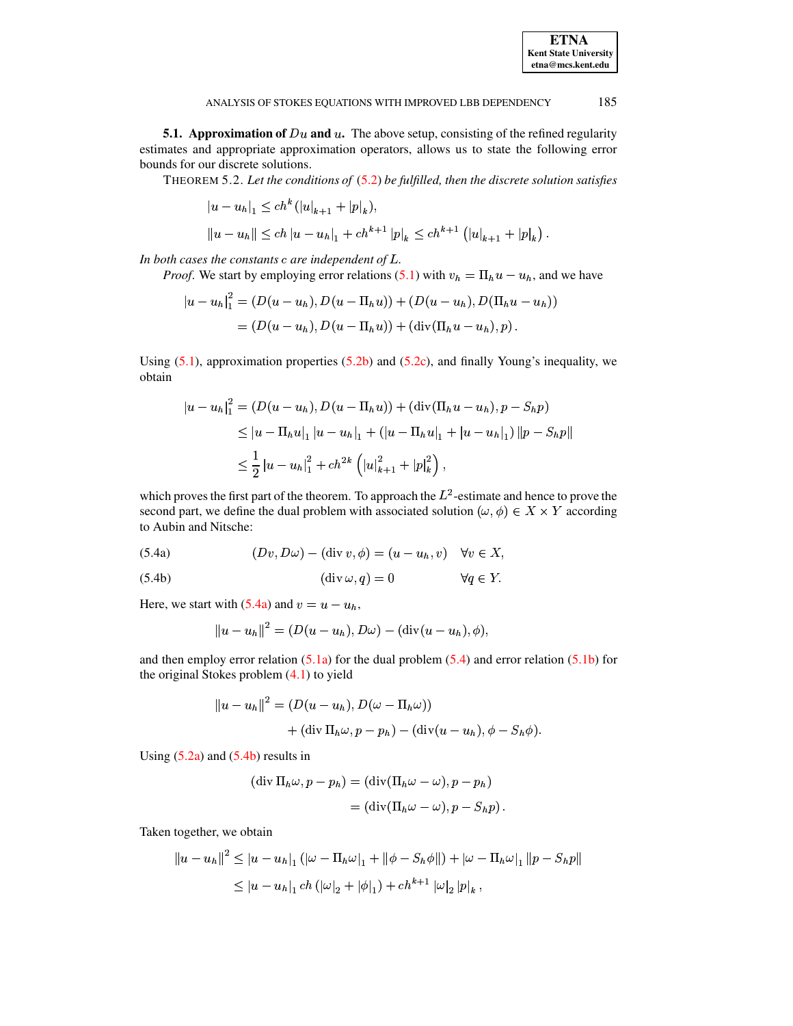**5.1. Approximation of**  $Du$  and  $u$ . The above setup, consisting of the refined regularity estimates and appropriate approximation operators, allows us to state the following error bounds for our discrete solutions.

THEOREM 5.2. Let the conditions of  $(5.2)$  be fulfilled, then the discrete solution satisfies

<span id="page-12-3"></span>
$$
|u - u_h|_1 \le ch^k (|u|_{k+1} + |p|_k),
$$
  

$$
||u - u_h|| \le ch |u - u_h|_1 + ch^{k+1} |p|_k \le ch^{k+1} (|u|_{k+1} + |p|_k).
$$

In both cases the constants  $c$  are independent of  $L$ .

*Proof.* We start by employing error relations (5.1) with  $v_h = \prod_h u - u_h$ , and we have

$$
|u - u_h|_1^2 = (D(u - u_h), D(u - \Pi_h u)) + (D(u - u_h), D(\Pi_h u - u_h))
$$
  
=  $(D(u - u_h), D(u - \Pi_h u)) + (\text{div}(\Pi_h u - u_h), p).$ 

Using  $(5.1)$ , approximation properties  $(5.2b)$  and  $(5.2c)$ , and finally Young's inequality, we obtain

$$
|u - u_h|_1^2 = (D(u - u_h), D(u - \Pi_h u)) + (\text{div}(\Pi_h u - u_h), p - S_h p)
$$
  
\n
$$
\leq |u - \Pi_h u|_1 |u - u_h|_1 + (|u - \Pi_h u|_1 + |u - u_h|_1) ||p - S_h p||
$$
  
\n
$$
\leq \frac{1}{2} |u - u_h|_1^2 + ch^{2k} (|u|_{k+1}^2 + |p|_k^2),
$$

which proves the first part of the theorem. To approach the  $L^2$ -estimate and hence to prove the second part, we define the dual problem with associated solution  $(\omega, \phi) \in X \times Y$  according to Aubin and Nitsche:

<span id="page-12-1"></span><span id="page-12-0"></span>(5.4a) 
$$
(Dv, D\omega) - (\text{div } v, \phi) = (u - u_h, v) \quad \forall v \in X
$$

<span id="page-12-2"></span>
$$
(5.4b) \t\t (div \omega, q) = 0 \t\t \forall q \in Y.
$$

Here, we start with (5.4a) and  $v = u - u_h$ ,

$$
||u - u_h||^2 = (D(u - u_h), D\omega) - (\text{div}(u - u_h), \phi),
$$

and then employ error relation  $(5.1a)$  for the dual problem  $(5.4)$  and error relation  $(5.1b)$  for the original Stokes problem  $(4.1)$  to yield

$$
||u - u_h||^2 = (D(u - u_h), D(\omega - \Pi_h \omega))
$$
  
+  $(\operatorname{div} \Pi_h \omega, p - p_h) - (\operatorname{div} (u - u_h), \phi - S_h \phi).$ 

Using  $(5.2a)$  and  $(5.4b)$  results in

$$
(\operatorname{div} \Pi_h \omega, p - p_h) = (\operatorname{div} (\Pi_h \omega - \omega), p - p_h)
$$
  
= 
$$
(\operatorname{div} (\Pi_h \omega - \omega), p - S_h p).
$$

Taken together, we obtain

$$
||u - u_h||^2 \le |u - u_h|_1 (|\omega - \Pi_h \omega|_1 + ||\phi - S_h \phi||) + |\omega - \Pi_h \omega|_1 ||p - S_h p||
$$
  
 
$$
\le |u - u_h|_1 ch (|\omega|_2 + |\phi|_1) + ch^{k+1} |\omega|_2 |p|_k,
$$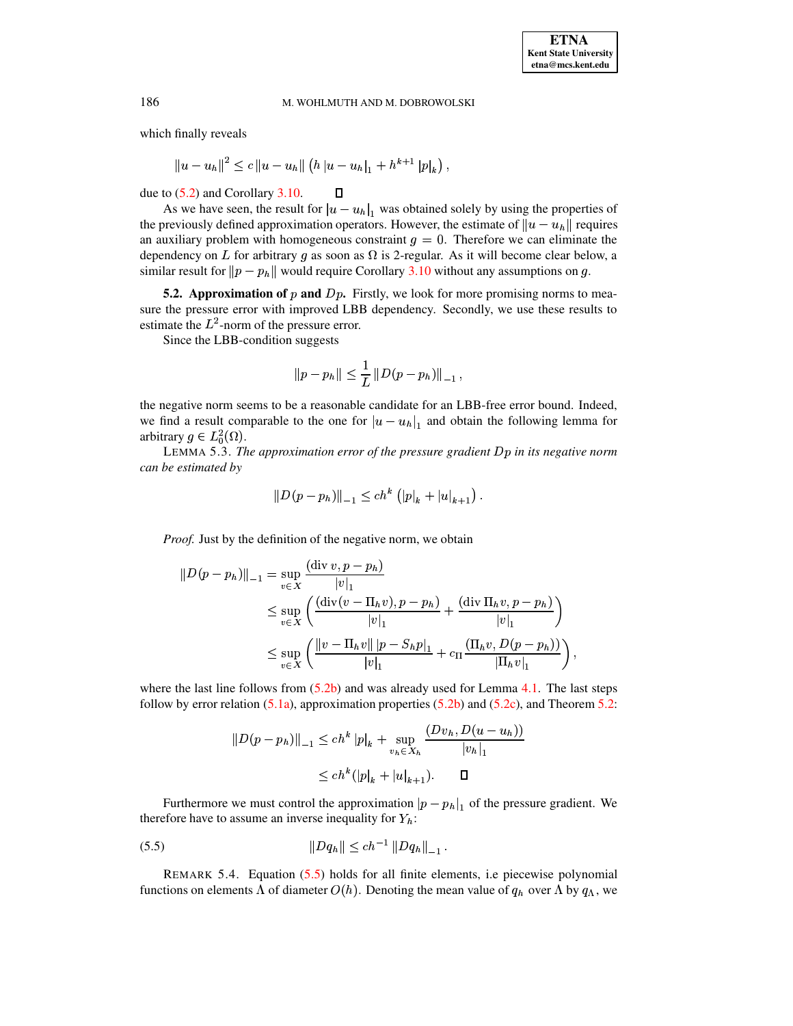which finally reveals

 $\|u-u_h\|^2 \leq c\, \|u-u_h\| \left( h\, |u-u_h|_1 + h^{k+1} \, |p|_k \right) \, ,$ 

due to [\(5.2\)](#page-11-5) and Corollary [3.10.](#page-8-0)

As we have seen, the result for  $|u - u_h|_1$  was obtained solely by using the properties of reviously defined approximation operators. However, the estimate of  $||u - u_h||$  requires the previously defined approximation operators. However, the estimate of  $||u - u_h||$  requires an auxiliary problem with homogeneous constraint  $g = 0$ . Therefore we can eliminate the dependency on L for arbitrary g as soon as  $\Omega$  is 2-regular. As it will become clear below, a similar result for  $\|p - p_h\|$  would require Corollary [3.10](#page-8-0) without any assumptions on g.

**5.2. Approximation of p and** Dp. Firstly, we look for more promising norms to measure the pressure error with improved LBB dependency. Secondly, we use these results to estimate the  $L^2$ -norm of the pressure error.

Since the LBB-condition suggests

$$
||p - p_h|| \leq \frac{1}{L} ||D(p - p_h)||_{-1},
$$

the negative norm seems to be a reasonable candidate for an LBB-free error bound. Indeed, we find a result comparable to the one for  $|u - u_h|_1$  and obtain the following lemma for arbitrary  $g \in L_0^2(\Omega)$ . arbitrary  $g \in L_0^2(\Omega)$ .

<span id="page-13-1"></span>LEMMA 5.3. *The approximation error of the pressure gradient* <sup>4</sup><sup>6</sup> *in its negative norm can be estimated by*

$$
||D(p-p_h)||_{-1} \le ch^k (||p||_k + |u||_{k+1}).
$$

*Proof.* Just by the definition of the negative norm, we obtain

$$
||D(p - p_h)||_{-1} = \sup_{v \in X} \frac{(\text{div } v, p - p_h)}{|v|_1} \n\le \sup_{v \in X} \left( \frac{(\text{div}(v - \Pi_h v), p - p_h)}{|v|_1} + \frac{(\text{div } \Pi_h v, p - p_h)}{|v|_1} \right) \n\le \sup_{v \in X} \left( \frac{||v - \Pi_h v|| |p - S_h p|_1}{|v|_1} + c_\Pi \frac{(\Pi_h v, D(p - p_h))}{|\Pi_h v|_1} \right),
$$

where the last line follows from  $(5.2b)$  and was already used for Lemma [4.1.](#page-10-0) The last steps follow by error relation  $(5.1a)$ , approximation properties  $(5.2b)$  and  $(5.2c)$ , and Theorem [5.2:](#page-12-3)

$$
||D(p - p_h)||_{-1} \le ch^k |p|_k + \sup_{v_h \in X_h} \frac{(Dv_h, D(u - u_h))}{|v_h|_1}
$$
  

$$
\le ch^k (|p|_k + |u|_{k+1}). \qquad \Box
$$

Furthermore we must control the approximation  $|p - p_h|_1$  of the pressure gradient. We fore have to assume an inverse inequality for  $Y_h$ : therefore have to assume an inverse inequality for  $Y_h$ :

<span id="page-13-0"></span>
$$
(5.5) \t\t\t ||Dq_h|| \le ch^{-1} ||Dq_h||_{-1}.
$$

REMARK 5.4. Equation [\(5.5\)](#page-13-0) holds for all finite elements, i.e piecewise polynomial functions on elements  $\Lambda$  of diameter  $O(h)$ . Denoting the mean value of  $q_h$  over  $\Lambda$  by  $q_\Lambda$ , we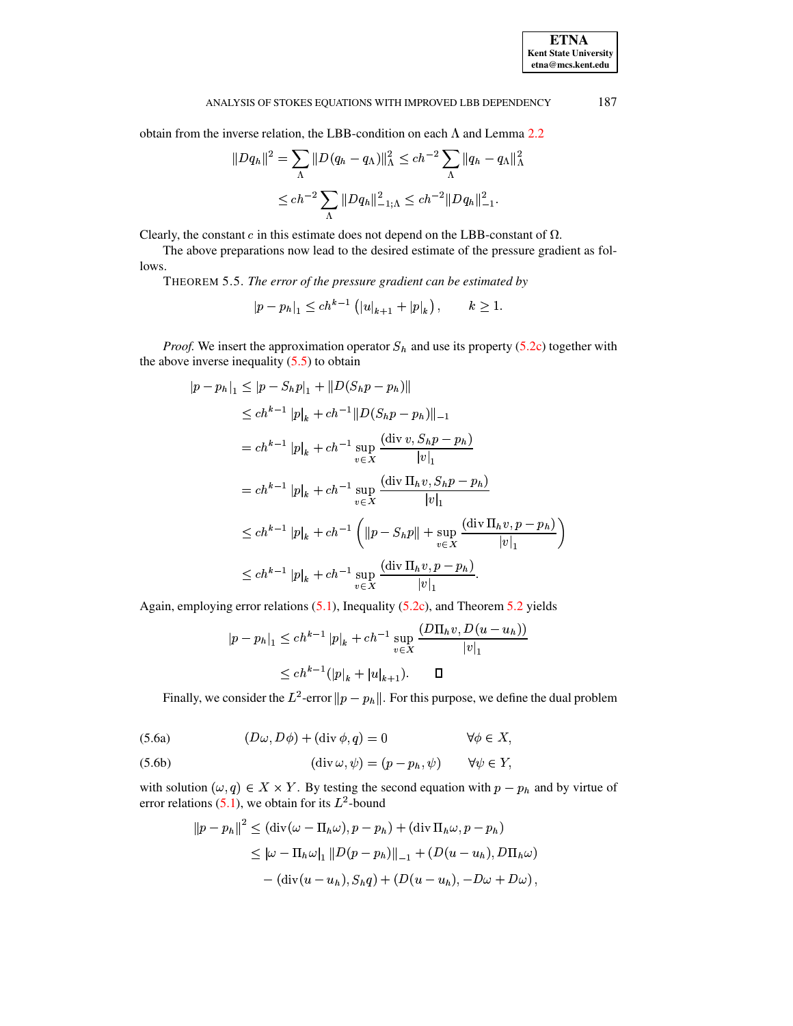obtain from the inverse relation, the LBB-condition on each  $\Lambda$  and Lemma 2.2

$$
||Dq_h||^2 = \sum_{\Lambda} ||D(q_h - q_\Lambda)||^2_{\Lambda} \le ch^{-2} \sum_{\Lambda} ||q_h - q_\Lambda||^2_{\Lambda}
$$
  

$$
\le ch^{-2} \sum_{\Lambda} ||Dq_h||^2_{-1;\Lambda} \le ch^{-2} ||Dq_h||^2_{-1}.
$$

Clearly, the constant  $c$  in this estimate does not depend on the LBB-constant of  $\Omega$ .

<span id="page-14-0"></span>The above preparations now lead to the desired estimate of the pressure gradient as follows.

THEOREM 5.5. The error of the pressure gradient can be estimated by

$$
|p - p_h|_1 \le ch^{k-1} (|u|_{k+1} + |p|_k), \qquad k \ge 1
$$

*Proof.* We insert the approximation operator  $S_h$  and use its property (5.2c) together with the above inverse inequality  $(5.5)$  to obtain

$$
|p - p_h|_1 \le |p - S_h p|_1 + ||D(S_h p - p_h)||
$$
  
\n
$$
\le ch^{k-1} |p|_k + ch^{-1} ||D(S_h p - p_h)||_{-1}
$$
  
\n
$$
= ch^{k-1} |p|_k + ch^{-1} \sup_{v \in X} \frac{(\text{div } v, S_h p - p_h)}{|v|_1}
$$
  
\n
$$
= ch^{k-1} |p|_k + ch^{-1} \sup_{v \in X} \frac{(\text{div } \Pi_h v, S_h p - p_h)}{|v|_1}
$$
  
\n
$$
\le ch^{k-1} |p|_k + ch^{-1} \left( ||p - S_h p|| + \sup_{v \in X} \frac{(\text{div } \Pi_h v, p - p_h)}{|v|_1} \right)
$$
  
\n
$$
\le ch^{k-1} |p|_k + ch^{-1} \sup_{v \in X} \frac{(\text{div } \Pi_h v, p - p_h)}{|v|_1}.
$$

Again, employing error relations  $(5.1)$ , Inequality  $(5.2c)$ , and Theorem 5.2 yields

$$
|p - p_h|_1 \le ch^{k-1} |p|_k + ch^{-1} \sup_{v \in X} \frac{(D\Pi_h v, D(u - u_h))}{|v|_1}
$$
  

$$
\le ch^{k-1} (|p|_k + |u|_{k+1}). \qquad \Box
$$

Finally, we consider the  $L^2$ -error  $||p - p_h||$ . For this purpose, we define the dual problem

(5.6a) 
$$
(D\omega, D\phi) + (\text{div }\phi, q) = 0 \qquad \forall \phi \in X,
$$

(5.6b) 
$$
(\text{div }\omega, \psi) = (p - p_h, \psi) \qquad \forall \psi \in Y,
$$

with solution  $(\omega, q) \in X \times Y$ . By testing the second equation with  $p - p_h$  and by virtue of error relations (5.1), we obtain for its  $L^2$ -bound

$$
||p - p_h||^2 \leq (\text{div}(\omega - \Pi_h \omega), p - p_h) + (\text{div } \Pi_h \omega, p - p_h)
$$
  
\n
$$
\leq |\omega - \Pi_h \omega|_1 ||D(p - p_h)||_{-1} + (D(u - u_h), D\Pi_h \omega)
$$
  
\n
$$
- (\text{div}(u - u_h), S_h q) + (D(u - u_h), -D\omega + D\omega),
$$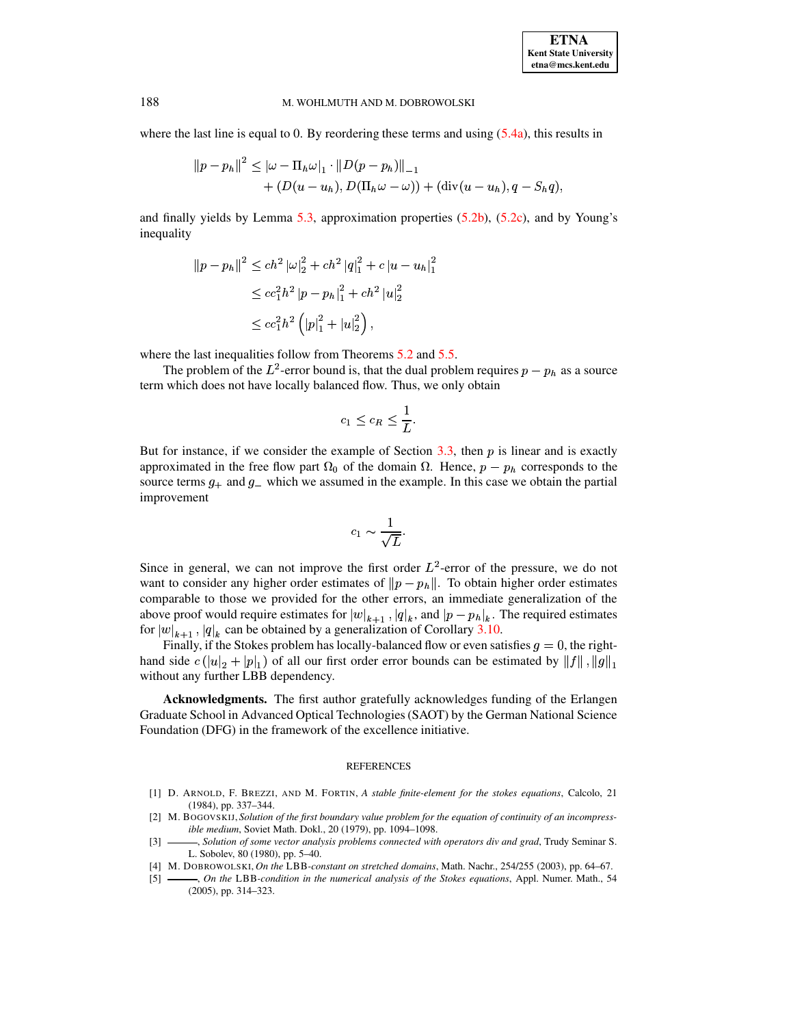where the last line is equal to 0. By reordering these terms and using  $(5.4a)$ , this results in

$$
||p - p_h||^2 \le |\omega - \Pi_h \omega|_1 \cdot ||D(p - p_h)||_{-1} + (D(u - u_h), D(\Pi_h \omega - \omega)) + (\text{div}(u - u_h), q - S_h q),
$$

and finally yields by Lemma [5.3,](#page-13-1) approximation properties  $(5.2b)$ ,  $(5.2c)$ , and by Young's inequality

$$
\begin{aligned} ||p - p_h||^2 &\le ch^2 \left| \omega \right|_2^2 + ch^2 \left| q \right|_1^2 + c \left| u - u_h \right|_1^2 \\ &\le c c_1^2 h^2 \left| p - p_h \right|_1^2 + ch^2 \left| u \right|_2^2 \\ &\le c c_1^2 h^2 \left( \left| p \right|_1^2 + \left| u \right|_2^2 \right), \end{aligned}
$$

where the last inequalities follow from Theorems [5.2](#page-12-3) and [5.5.](#page-14-0)

The problem of the  $L^2$ -error bound is, that the dual problem requires  $p - p_h$  as a source term which does not have locally balanced flow. Thus, we only obtain

$$
c_1 \leq c_R \leq \frac{1}{L}.
$$

But for instance, if we consider the example of Section [3.3,](#page-8-1) then  $p$  is linear and is exactly approximated in the free flow part  $\Omega_0$  of the domain  $\Omega$ . Hence,  $p - p_h$  corresponds to the source terms  $g_{+}$  and  $g_{-}$  which we assumed in the example. In this case we obtain the partial improvement

$$
c_1 \sim \frac{1}{\sqrt{L}}.
$$

Since in general, we can not improve the first order  $L^2$ -error of the pressure, we do not want to consider any higher order estimates of  $||p - p_h||$ . To obtain higher order estimates comparable to those we provided for the other errors, an immediate generalization of the above proof would require estimates for  $|w|_{k+1}$ ,  $|q|_k$ , and  $|p - p_h|_k$ . The required estimates for  $|w|_{k+1}$ ,  $|q|_k$  can be obtained by a generalization of Corollary 3.10. for  $|w|_{k+1}$ ,  $|q|_k$  can be obtained by a generalization of Corollary [3.10.](#page-8-0)

Finally, if the Stokes problem has locally-balanced flow or even satisfies  $g = 0$ , the righthand side  $c(|u|_2 + |p|_1)$  of all our first order error bounds can be estimated by  $||f||, ||g||_1$ mand side  $e(|u|_2 + |p|_1)$  or an our in<br>without any further LBB dependency.

**Acknowledgments.** The first author gratefully acknowledges funding of the Erlangen Graduate School in Advanced Optical Technologies(SAOT) by the German National Science Foundation (DFG) in the framework of the excellence initiative.

### **REFERENCES**

- <span id="page-15-4"></span>[1] D. ARNOLD, F. BREZZI, AND M. FORTIN, *A stable finite-element for the stokes equations*, Calcolo, 21 (1984), pp. 337–344.
- <span id="page-15-0"></span>[2] M. BOGOVSKIJ, *Solution of the first boundary value problem for the equation of continuity of an incompressible medium*, Soviet Math. Dokl., 20 (1979), pp. 1094–1098.
- <span id="page-15-1"></span>[3] , *Solution of some vector analysis problems connected with operators div and grad*, Trudy Seminar S. L. Sobolev, 80 (1980), pp. 5–40.
- <span id="page-15-3"></span><span id="page-15-2"></span>[4] M. DOBROWOLSKI, *On the* LBB*-constant on stretched domains*, Math. Nachr., 254/255 (2003), pp. 64–67.
- [5] , *On the* LBB*-condition in the numerical analysis of the Stokes equations*, Appl. Numer. Math., 54 (2005), pp. 314–323.